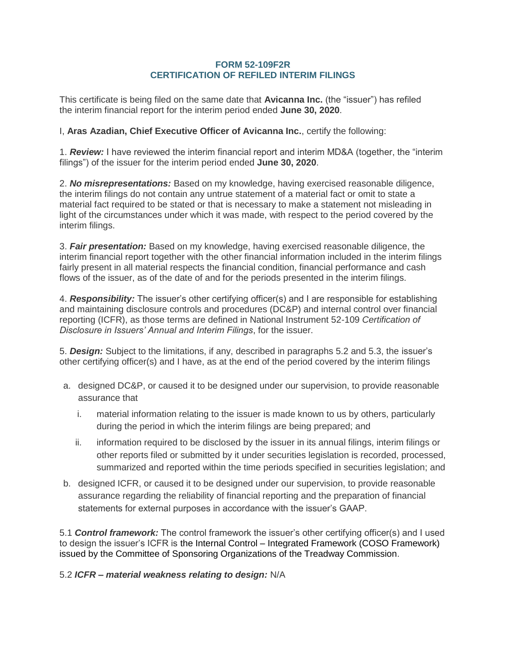## **FORM 52-109F2R CERTIFICATION OF REFILED INTERIM FILINGS**

This certificate is being filed on the same date that **Avicanna Inc.** (the "issuer") has refiled the interim financial report for the interim period ended **June 30, 2020**.

## I, **Aras Azadian, Chief Executive Officer of Avicanna Inc.**, certify the following:

1. *Review:* I have reviewed the interim financial report and interim MD&A (together, the "interim filings") of the issuer for the interim period ended **June 30, 2020**.

2. *No misrepresentations:* Based on my knowledge, having exercised reasonable diligence, the interim filings do not contain any untrue statement of a material fact or omit to state a material fact required to be stated or that is necessary to make a statement not misleading in light of the circumstances under which it was made, with respect to the period covered by the interim filings.

3. *Fair presentation:* Based on my knowledge, having exercised reasonable diligence, the interim financial report together with the other financial information included in the interim filings fairly present in all material respects the financial condition, financial performance and cash flows of the issuer, as of the date of and for the periods presented in the interim filings.

4. *Responsibility:* The issuer's other certifying officer(s) and I are responsible for establishing and maintaining disclosure controls and procedures (DC&P) and internal control over financial reporting (ICFR), as those terms are defined in National Instrument 52-109 *Certification of Disclosure in Issuers' Annual and Interim Filings*, for the issuer.

5. *Design:* Subject to the limitations, if any, described in paragraphs 5.2 and 5.3, the issuer's other certifying officer(s) and I have, as at the end of the period covered by the interim filings

- a. designed DC&P, or caused it to be designed under our supervision, to provide reasonable assurance that
	- i. material information relating to the issuer is made known to us by others, particularly during the period in which the interim filings are being prepared; and
	- ii. information required to be disclosed by the issuer in its annual filings, interim filings or other reports filed or submitted by it under securities legislation is recorded, processed, summarized and reported within the time periods specified in securities legislation; and
- b. designed ICFR, or caused it to be designed under our supervision, to provide reasonable assurance regarding the reliability of financial reporting and the preparation of financial statements for external purposes in accordance with the issuer's GAAP.

5.1 *Control framework:* The control framework the issuer's other certifying officer(s) and I used to design the issuer's ICFR is the Internal Control – Integrated Framework (COSO Framework) issued by the Committee of Sponsoring Organizations of the Treadway Commission.

5.2 *ICFR – material weakness relating to design:* N/A